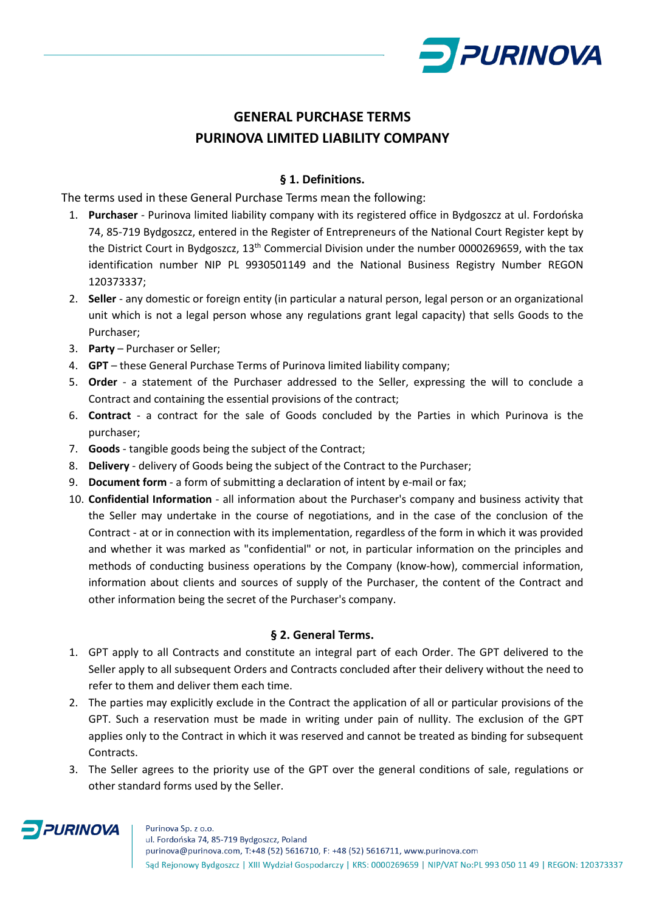

# **GENERAL PURCHASE TERMS PURINOVA LIMITED LIABILITY COMPANY**

## **§ 1. Definitions.**

The terms used in these General Purchase Terms mean the following:

- 1. **Purchaser** Purinova limited liability company with its registered office in Bydgoszcz at ul. Fordońska 74, 85-719 Bydgoszcz, entered in the Register of Entrepreneurs of the National Court Register kept by the District Court in Bydgoszcz, 13<sup>th</sup> Commercial Division under the number 0000269659, with the tax identification number NIP PL 9930501149 and the National Business Registry Number REGON 120373337;
- 2. **Seller** any domestic or foreign entity (in particular a natural person, legal person or an organizational unit which is not a legal person whose any regulations grant legal capacity) that sells Goods to the Purchaser;
- 3. **Party** Purchaser or Seller;
- 4. **GPT** these General Purchase Terms of Purinova limited liability company;
- 5. **Order** a statement of the Purchaser addressed to the Seller, expressing the will to conclude a Contract and containing the essential provisions of the contract;
- 6. **Contract** a contract for the sale of Goods concluded by the Parties in which Purinova is the purchaser;
- 7. **Goods** tangible goods being the subject of the Contract;
- 8. **Delivery** delivery of Goods being the subject of the Contract to the Purchaser;
- 9. **Document form** a form of submitting a declaration of intent by e-mail or fax;
- 10. **Confidential Information** all information about the Purchaser's company and business activity that the Seller may undertake in the course of negotiations, and in the case of the conclusion of the Contract - at or in connection with its implementation, regardless of the form in which it was provided and whether it was marked as "confidential" or not, in particular information on the principles and methods of conducting business operations by the Company (know-how), commercial information, information about clients and sources of supply of the Purchaser, the content of the Contract and other information being the secret of the Purchaser's company.

#### **§ 2. General Terms.**

- 1. GPT apply to all Contracts and constitute an integral part of each Order. The GPT delivered to the Seller apply to all subsequent Orders and Contracts concluded after their delivery without the need to refer to them and deliver them each time.
- 2. The parties may explicitly exclude in the Contract the application of all or particular provisions of the GPT. Such a reservation must be made in writing under pain of nullity. The exclusion of the GPT applies only to the Contract in which it was reserved and cannot be treated as binding for subsequent Contracts.
- 3. The Seller agrees to the priority use of the GPT over the general conditions of sale, regulations or other standard forms used by the Seller.

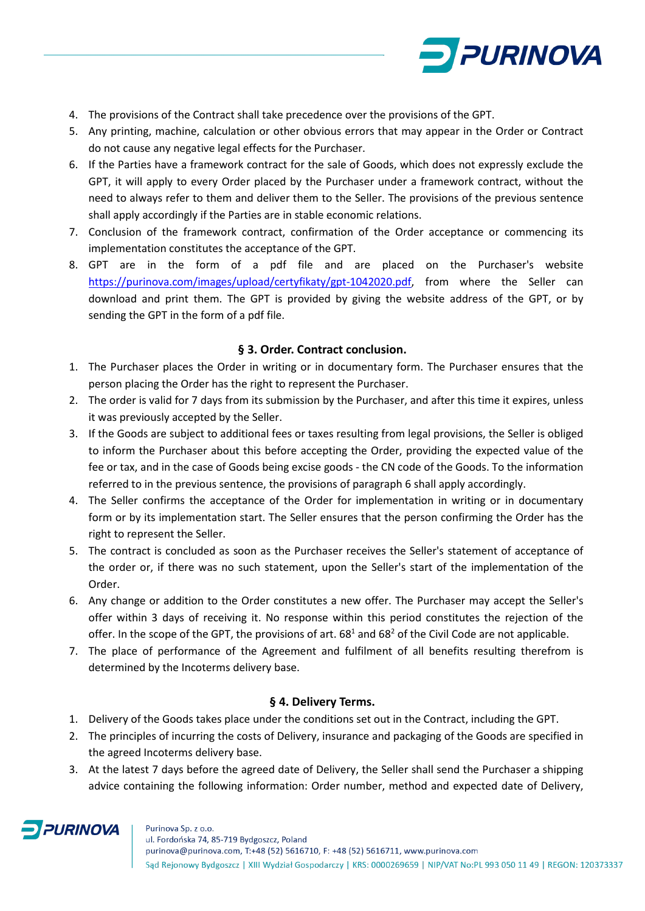

- 4. The provisions of the Contract shall take precedence over the provisions of the GPT.
- 5. Any printing, machine, calculation or other obvious errors that may appear in the Order or Contract do not cause any negative legal effects for the Purchaser.
- 6. If the Parties have a framework contract for the sale of Goods, which does not expressly exclude the GPT, it will apply to every Order placed by the Purchaser under a framework contract, without the need to always refer to them and deliver them to the Seller. The provisions of the previous sentence shall apply accordingly if the Parties are in stable economic relations.
- 7. Conclusion of the framework contract, confirmation of the Order acceptance or commencing its implementation constitutes the acceptance of the GPT.
- 8. GPT are in the form of a pdf file and are placed on the Purchaser's website [https://purinova.com/images/upload/certyfikaty/gpt-1042020.pdf,](https://purinova.com/images/upload/certyfikaty/gpt-1042020.pdf) from where the Seller can download and print them. The GPT is provided by giving the website address of the GPT, or by sending the GPT in the form of a pdf file.

## **§ 3. Order. Contract conclusion.**

- 1. The Purchaser places the Order in writing or in documentary form. The Purchaser ensures that the person placing the Order has the right to represent the Purchaser.
- 2. The order is valid for 7 days from its submission by the Purchaser, and after this time it expires, unless it was previously accepted by the Seller.
- 3. If the Goods are subject to additional fees or taxes resulting from legal provisions, the Seller is obliged to inform the Purchaser about this before accepting the Order, providing the expected value of the fee or tax, and in the case of Goods being excise goods - the CN code of the Goods. To the information referred to in the previous sentence, the provisions of paragraph 6 shall apply accordingly.
- 4. The Seller confirms the acceptance of the Order for implementation in writing or in documentary form or by its implementation start. The Seller ensures that the person confirming the Order has the right to represent the Seller.
- 5. The contract is concluded as soon as the Purchaser receives the Seller's statement of acceptance of the order or, if there was no such statement, upon the Seller's start of the implementation of the Order.
- 6. Any change or addition to the Order constitutes a new offer. The Purchaser may accept the Seller's offer within 3 days of receiving it. No response within this period constitutes the rejection of the offer. In the scope of the GPT, the provisions of art.  $68<sup>1</sup>$  and  $68<sup>2</sup>$  of the Civil Code are not applicable.
- 7. The place of performance of the Agreement and fulfilment of all benefits resulting therefrom is determined by the Incoterms delivery base.

## **§ 4. Delivery Terms.**

- 1. Delivery of the Goods takes place under the conditions set out in the Contract, including the GPT.
- 2. The principles of incurring the costs of Delivery, insurance and packaging of the Goods are specified in the agreed Incoterms delivery base.
- 3. At the latest 7 days before the agreed date of Delivery, the Seller shall send the Purchaser a shipping advice containing the following information: Order number, method and expected date of Delivery,

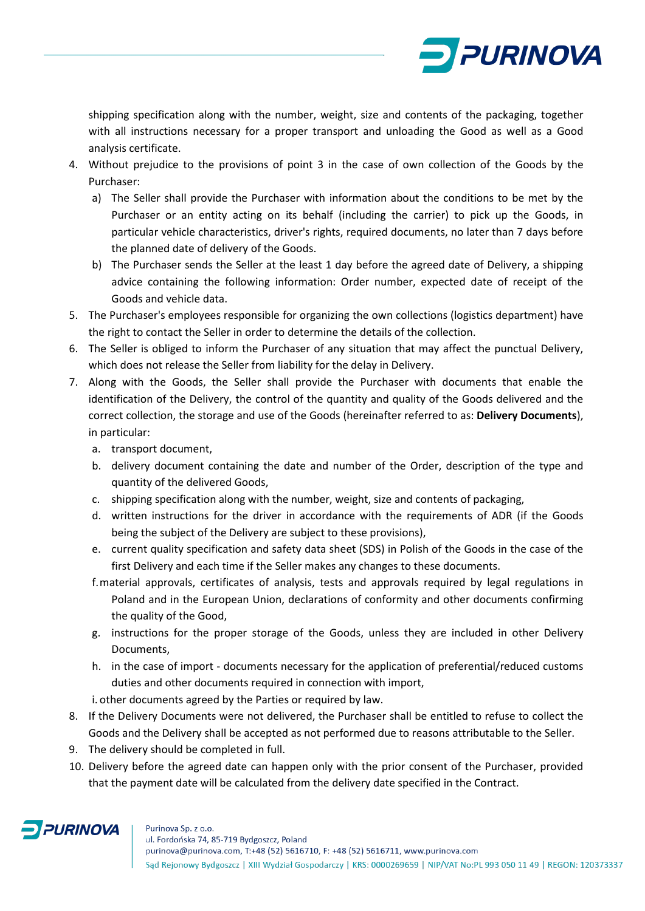

shipping specification along with the number, weight, size and contents of the packaging, together with all instructions necessary for a proper transport and unloading the Good as well as a Good analysis certificate.

- 4. Without prejudice to the provisions of point 3 in the case of own collection of the Goods by the Purchaser:
	- a) The Seller shall provide the Purchaser with information about the conditions to be met by the Purchaser or an entity acting on its behalf (including the carrier) to pick up the Goods, in particular vehicle characteristics, driver's rights, required documents, no later than 7 days before the planned date of delivery of the Goods.
	- b) The Purchaser sends the Seller at the least 1 day before the agreed date of Delivery, a shipping advice containing the following information: Order number, expected date of receipt of the Goods and vehicle data.
- 5. The Purchaser's employees responsible for organizing the own collections (logistics department) have the right to contact the Seller in order to determine the details of the collection.
- 6. The Seller is obliged to inform the Purchaser of any situation that may affect the punctual Delivery, which does not release the Seller from liability for the delay in Delivery.
- 7. Along with the Goods, the Seller shall provide the Purchaser with documents that enable the identification of the Delivery, the control of the quantity and quality of the Goods delivered and the correct collection, the storage and use of the Goods (hereinafter referred to as: **Delivery Documents**), in particular:
	- a. transport document,
	- b. delivery document containing the date and number of the Order, description of the type and quantity of the delivered Goods,
	- c. shipping specification along with the number, weight, size and contents of packaging,
	- d. written instructions for the driver in accordance with the requirements of ADR (if the Goods being the subject of the Delivery are subject to these provisions),
	- e. current quality specification and safety data sheet (SDS) in Polish of the Goods in the case of the first Delivery and each time if the Seller makes any changes to these documents.
	- f.material approvals, certificates of analysis, tests and approvals required by legal regulations in Poland and in the European Union, declarations of conformity and other documents confirming the quality of the Good,
	- g. instructions for the proper storage of the Goods, unless they are included in other Delivery Documents,
	- h. in the case of import documents necessary for the application of preferential/reduced customs duties and other documents required in connection with import,
	- i. other documents agreed by the Parties or required by law.
- 8. If the Delivery Documents were not delivered, the Purchaser shall be entitled to refuse to collect the Goods and the Delivery shall be accepted as not performed due to reasons attributable to the Seller.
- 9. The delivery should be completed in full.
- 10. Delivery before the agreed date can happen only with the prior consent of the Purchaser, provided that the payment date will be calculated from the delivery date specified in the Contract.



#### Purinova Sp. z o.o.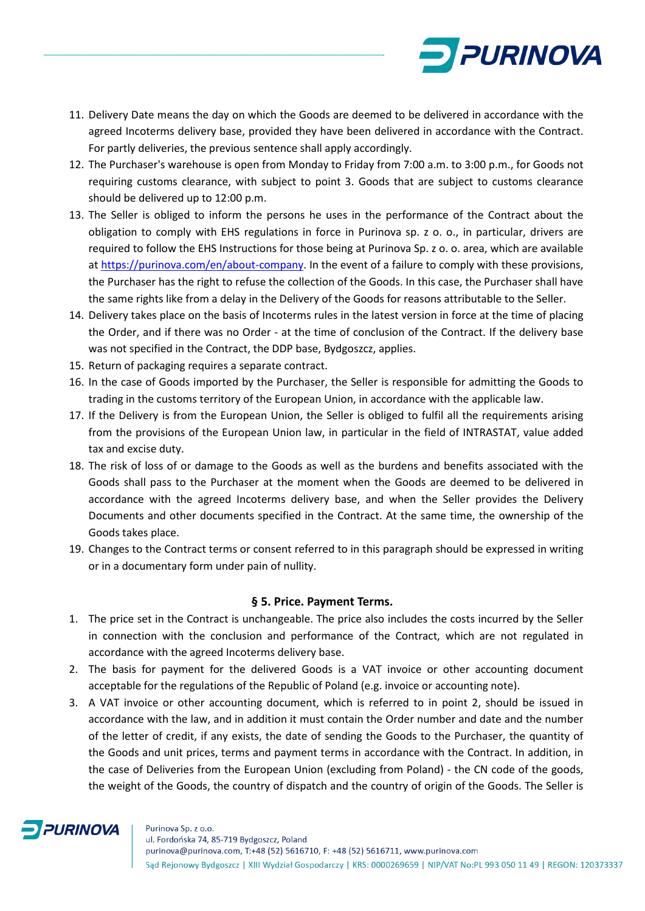

- 11. Delivery Date means the day on which the Goods are deemed to be delivered in accordance with the agreed Incoterms delivery base, provided they have been delivered in accordance with the Contract. For partly deliveries, the previous sentence shall apply accordingly.
- 12. The Purchaser's warehouse is open from Monday to Friday from 7:00 a.m. to 3:00 p.m., for Goods not requiring customs clearance, with subject to point 3. Goods that are subject to customs clearance should be delivered up to 12:00 p.m.
- 13. The Seller is obliged to inform the persons he uses in the performance of the Contract about the obligation to comply with EHS regulations in force in Purinova sp. z o. o., in particular, drivers are required to follow the EHS Instructions for those being at Purinova Sp. z o. o. area, which are available at [https://purinova.com/en/about-company.](https://purinova.com/en/about-company) In the event of a failure to comply with these provisions, the Purchaser has the right to refuse the collection of the Goods. In this case, the Purchaser shall have the same rights like from a delay in the Delivery of the Goods for reasons attributable to the Seller.
- 14. Delivery takes place on the basis of Incoterms rules in the latest version in force at the time of placing the Order, and if there was no Order - at the time of conclusion of the Contract. If the delivery base was not specified in the Contract, the DDP base, Bydgoszcz, applies.
- 15. Return of packaging requires a separate contract.
- 16. In the case of Goods imported by the Purchaser, the Seller is responsible for admitting the Goods to trading in the customs territory of the European Union, in accordance with the applicable law.
- 17. If the Delivery is from the European Union, the Seller is obliged to fulfil all the requirements arising from the provisions of the European Union law, in particular in the field of INTRASTAT, value added tax and excise duty.
- 18. The risk of loss of or damage to the Goods as well as the burdens and benefits associated with the Goods shall pass to the Purchaser at the moment when the Goods are deemed to be delivered in accordance with the agreed Incoterms delivery base, and when the Seller provides the Delivery Documents and other documents specified in the Contract. At the same time, the ownership of the Goods takes place.
- 19. Changes to the Contract terms or consent referred to in this paragraph should be expressed in writing or in a documentary form under pain of nullity.

## **§ 5. Price. Payment Terms.**

- 1. The price set in the Contract is unchangeable. The price also includes the costs incurred by the Seller in connection with the conclusion and performance of the Contract, which are not regulated in accordance with the agreed Incoterms delivery base.
- 2. The basis for payment for the delivered Goods is a VAT invoice or other accounting document acceptable for the regulations of the Republic of Poland (e.g. invoice or accounting note).
- 3. A VAT invoice or other accounting document, which is referred to in point 2, should be issued in accordance with the law, and in addition it must contain the Order number and date and the number of the letter of credit, if any exists, the date of sending the Goods to the Purchaser, the quantity of the Goods and unit prices, terms and payment terms in accordance with the Contract. In addition, in the case of Deliveries from the European Union (excluding from Poland) - the CN code of the goods, the weight of the Goods, the country of dispatch and the country of origin of the Goods. The Seller is

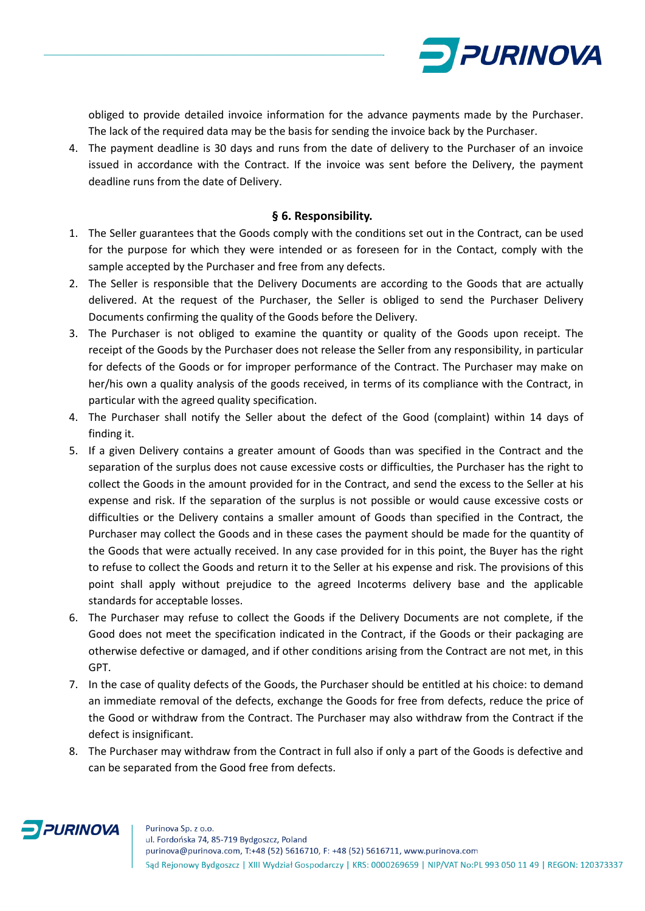

obliged to provide detailed invoice information for the advance payments made by the Purchaser. The lack of the required data may be the basis for sending the invoice back by the Purchaser.

4. The payment deadline is 30 days and runs from the date of delivery to the Purchaser of an invoice issued in accordance with the Contract. If the invoice was sent before the Delivery, the payment deadline runs from the date of Delivery.

#### **§ 6. Responsibility.**

- 1. The Seller guarantees that the Goods comply with the conditions set out in the Contract, can be used for the purpose for which they were intended or as foreseen for in the Contact, comply with the sample accepted by the Purchaser and free from any defects.
- 2. The Seller is responsible that the Delivery Documents are according to the Goods that are actually delivered. At the request of the Purchaser, the Seller is obliged to send the Purchaser Delivery Documents confirming the quality of the Goods before the Delivery.
- 3. The Purchaser is not obliged to examine the quantity or quality of the Goods upon receipt. The receipt of the Goods by the Purchaser does not release the Seller from any responsibility, in particular for defects of the Goods or for improper performance of the Contract. The Purchaser may make on her/his own a quality analysis of the goods received, in terms of its compliance with the Contract, in particular with the agreed quality specification.
- 4. The Purchaser shall notify the Seller about the defect of the Good (complaint) within 14 days of finding it.
- 5. If a given Delivery contains a greater amount of Goods than was specified in the Contract and the separation of the surplus does not cause excessive costs or difficulties, the Purchaser has the right to collect the Goods in the amount provided for in the Contract, and send the excess to the Seller at his expense and risk. If the separation of the surplus is not possible or would cause excessive costs or difficulties or the Delivery contains a smaller amount of Goods than specified in the Contract, the Purchaser may collect the Goods and in these cases the payment should be made for the quantity of the Goods that were actually received. In any case provided for in this point, the Buyer has the right to refuse to collect the Goods and return it to the Seller at his expense and risk. The provisions of this point shall apply without prejudice to the agreed Incoterms delivery base and the applicable standards for acceptable losses.
- 6. The Purchaser may refuse to collect the Goods if the Delivery Documents are not complete, if the Good does not meet the specification indicated in the Contract, if the Goods or their packaging are otherwise defective or damaged, and if other conditions arising from the Contract are not met, in this GPT.
- 7. In the case of quality defects of the Goods, the Purchaser should be entitled at his choice: to demand an immediate removal of the defects, exchange the Goods for free from defects, reduce the price of the Good or withdraw from the Contract. The Purchaser may also withdraw from the Contract if the defect is insignificant.
- 8. The Purchaser may withdraw from the Contract in full also if only a part of the Goods is defective and can be separated from the Good free from defects.

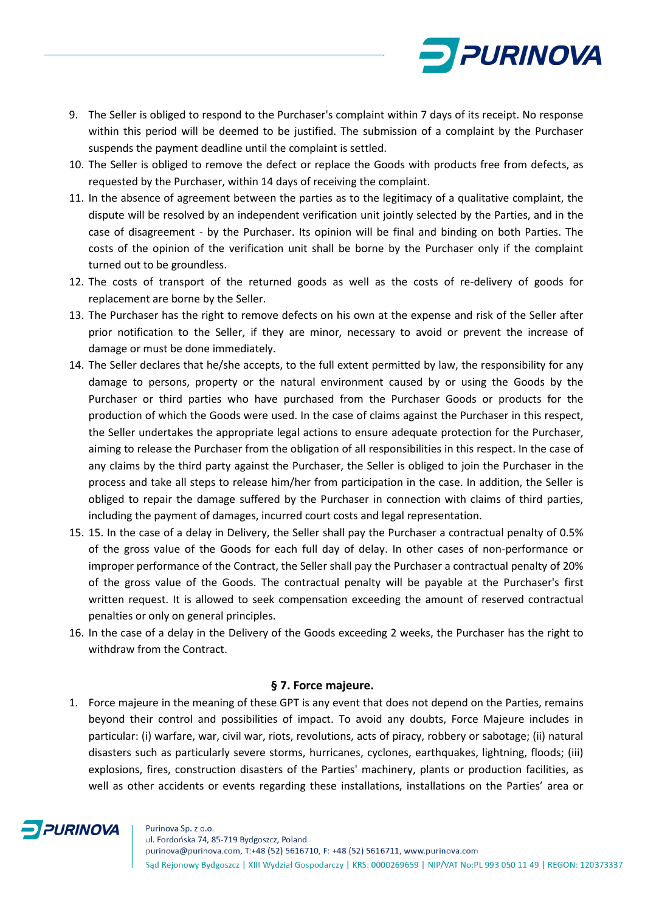

- 9. The Seller is obliged to respond to the Purchaser's complaint within 7 days of its receipt. No response within this period will be deemed to be justified. The submission of a complaint by the Purchaser suspends the payment deadline until the complaint is settled.
- 10. The Seller is obliged to remove the defect or replace the Goods with products free from defects, as requested by the Purchaser, within 14 days of receiving the complaint.
- 11. In the absence of agreement between the parties as to the legitimacy of a qualitative complaint, the dispute will be resolved by an independent verification unit jointly selected by the Parties, and in the case of disagreement - by the Purchaser. Its opinion will be final and binding on both Parties. The costs of the opinion of the verification unit shall be borne by the Purchaser only if the complaint turned out to be groundless.
- 12. The costs of transport of the returned goods as well as the costs of re-delivery of goods for replacement are borne by the Seller.
- 13. The Purchaser has the right to remove defects on his own at the expense and risk of the Seller after prior notification to the Seller, if they are minor, necessary to avoid or prevent the increase of damage or must be done immediately.
- 14. The Seller declares that he/she accepts, to the full extent permitted by law, the responsibility for any damage to persons, property or the natural environment caused by or using the Goods by the Purchaser or third parties who have purchased from the Purchaser Goods or products for the production of which the Goods were used. In the case of claims against the Purchaser in this respect, the Seller undertakes the appropriate legal actions to ensure adequate protection for the Purchaser, aiming to release the Purchaser from the obligation of all responsibilities in this respect. In the case of any claims by the third party against the Purchaser, the Seller is obliged to join the Purchaser in the process and take all steps to release him/her from participation in the case. In addition, the Seller is obliged to repair the damage suffered by the Purchaser in connection with claims of third parties, including the payment of damages, incurred court costs and legal representation.
- 15. 15. In the case of a delay in Delivery, the Seller shall pay the Purchaser a contractual penalty of 0.5% of the gross value of the Goods for each full day of delay. In other cases of non-performance or improper performance of the Contract, the Seller shall pay the Purchaser a contractual penalty of 20% of the gross value of the Goods. The contractual penalty will be payable at the Purchaser's first written request. It is allowed to seek compensation exceeding the amount of reserved contractual penalties or only on general principles.
- 16. In the case of a delay in the Delivery of the Goods exceeding 2 weeks, the Purchaser has the right to withdraw from the Contract.

## **§ 7. Force majeure.**

1. Force majeure in the meaning of these GPT is any event that does not depend on the Parties, remains beyond their control and possibilities of impact. To avoid any doubts, Force Majeure includes in particular: (i) warfare, war, civil war, riots, revolutions, acts of piracy, robbery or sabotage; (ii) natural disasters such as particularly severe storms, hurricanes, cyclones, earthquakes, lightning, floods; (iii) explosions, fires, construction disasters of the Parties' machinery, plants or production facilities, as well as other accidents or events regarding these installations, installations on the Parties' area or

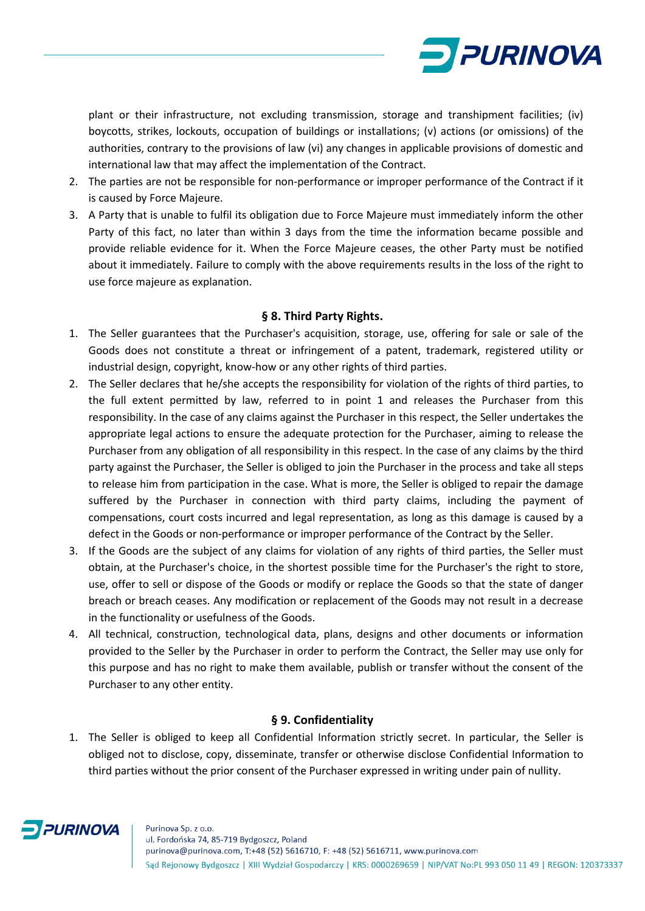

plant or their infrastructure, not excluding transmission, storage and transhipment facilities; (iv) boycotts, strikes, lockouts, occupation of buildings or installations; (v) actions (or omissions) of the authorities, contrary to the provisions of law (vi) any changes in applicable provisions of domestic and international law that may affect the implementation of the Contract.

- 2. The parties are not be responsible for non-performance or improper performance of the Contract if it is caused by Force Majeure.
- 3. A Party that is unable to fulfil its obligation due to Force Majeure must immediately inform the other Party of this fact, no later than within 3 days from the time the information became possible and provide reliable evidence for it. When the Force Majeure ceases, the other Party must be notified about it immediately. Failure to comply with the above requirements results in the loss of the right to use force majeure as explanation.

#### **§ 8. Third Party Rights.**

- 1. The Seller guarantees that the Purchaser's acquisition, storage, use, offering for sale or sale of the Goods does not constitute a threat or infringement of a patent, trademark, registered utility or industrial design, copyright, know-how or any other rights of third parties.
- 2. The Seller declares that he/she accepts the responsibility for violation of the rights of third parties, to the full extent permitted by law, referred to in point 1 and releases the Purchaser from this responsibility. In the case of any claims against the Purchaser in this respect, the Seller undertakes the appropriate legal actions to ensure the adequate protection for the Purchaser, aiming to release the Purchaser from any obligation of all responsibility in this respect. In the case of any claims by the third party against the Purchaser, the Seller is obliged to join the Purchaser in the process and take all steps to release him from participation in the case. What is more, the Seller is obliged to repair the damage suffered by the Purchaser in connection with third party claims, including the payment of compensations, court costs incurred and legal representation, as long as this damage is caused by a defect in the Goods or non-performance or improper performance of the Contract by the Seller.
- 3. If the Goods are the subject of any claims for violation of any rights of third parties, the Seller must obtain, at the Purchaser's choice, in the shortest possible time for the Purchaser's the right to store, use, offer to sell or dispose of the Goods or modify or replace the Goods so that the state of danger breach or breach ceases. Any modification or replacement of the Goods may not result in a decrease in the functionality or usefulness of the Goods.
- 4. All technical, construction, technological data, plans, designs and other documents or information provided to the Seller by the Purchaser in order to perform the Contract, the Seller may use only for this purpose and has no right to make them available, publish or transfer without the consent of the Purchaser to any other entity.

## **§ 9. Confidentiality**

1. The Seller is obliged to keep all Confidential Information strictly secret. In particular, the Seller is obliged not to disclose, copy, disseminate, transfer or otherwise disclose Confidential Information to third parties without the prior consent of the Purchaser expressed in writing under pain of nullity.

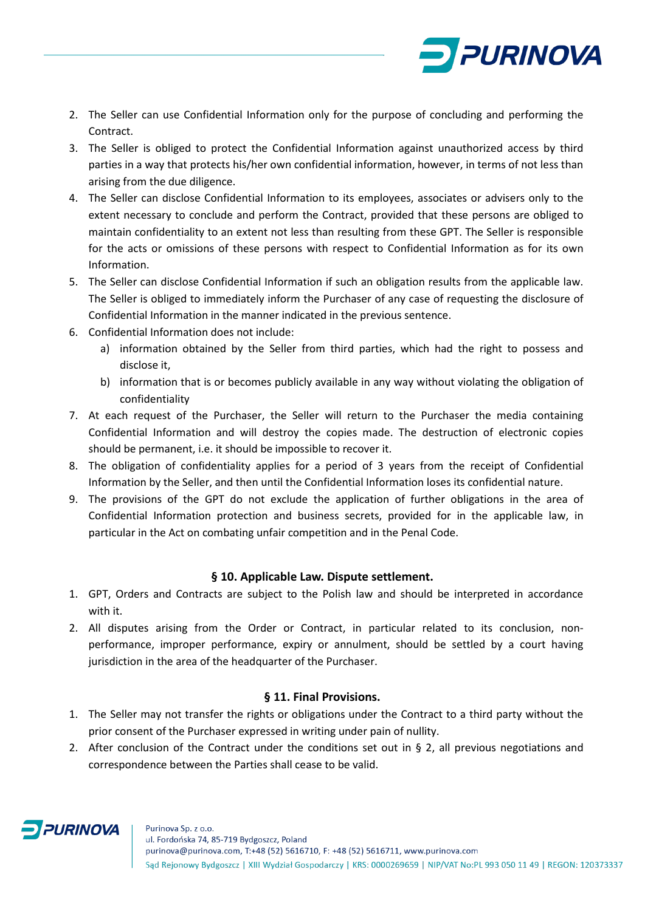

- 2. The Seller can use Confidential Information only for the purpose of concluding and performing the Contract.
- 3. The Seller is obliged to protect the Confidential Information against unauthorized access by third parties in a way that protects his/her own confidential information, however, in terms of not less than arising from the due diligence.
- 4. The Seller can disclose Confidential Information to its employees, associates or advisers only to the extent necessary to conclude and perform the Contract, provided that these persons are obliged to maintain confidentiality to an extent not less than resulting from these GPT. The Seller is responsible for the acts or omissions of these persons with respect to Confidential Information as for its own Information.
- 5. The Seller can disclose Confidential Information if such an obligation results from the applicable law. The Seller is obliged to immediately inform the Purchaser of any case of requesting the disclosure of Confidential Information in the manner indicated in the previous sentence.
- 6. Confidential Information does not include:
	- a) information obtained by the Seller from third parties, which had the right to possess and disclose it,
	- b) information that is or becomes publicly available in any way without violating the obligation of confidentiality
- 7. At each request of the Purchaser, the Seller will return to the Purchaser the media containing Confidential Information and will destroy the copies made. The destruction of electronic copies should be permanent, i.e. it should be impossible to recover it.
- 8. The obligation of confidentiality applies for a period of 3 years from the receipt of Confidential Information by the Seller, and then until the Confidential Information loses its confidential nature.
- 9. The provisions of the GPT do not exclude the application of further obligations in the area of Confidential Information protection and business secrets, provided for in the applicable law, in particular in the Act on combating unfair competition and in the Penal Code.

## **§ 10. Applicable Law. Dispute settlement.**

- 1. GPT, Orders and Contracts are subject to the Polish law and should be interpreted in accordance with it.
- 2. All disputes arising from the Order or Contract, in particular related to its conclusion, nonperformance, improper performance, expiry or annulment, should be settled by a court having jurisdiction in the area of the headquarter of the Purchaser.

## **§ 11. Final Provisions.**

- 1. The Seller may not transfer the rights or obligations under the Contract to a third party without the prior consent of the Purchaser expressed in writing under pain of nullity.
- 2. After conclusion of the Contract under the conditions set out in  $\S$  2, all previous negotiations and correspondence between the Parties shall cease to be valid.